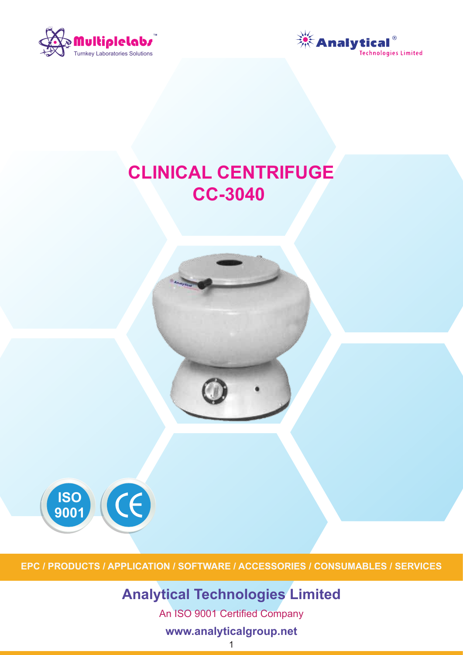



# **CLINICAL CENTRIFUGE CC-3040**



**EPC / PRODUCTS / APPLICATION / SOFTWARE / ACCESSORIES / CONSUMABLES / SERVICES**

# **Analytical Technologies Limited**

An ISO 9001 Certified Company

# **www.analyticalgroup.net**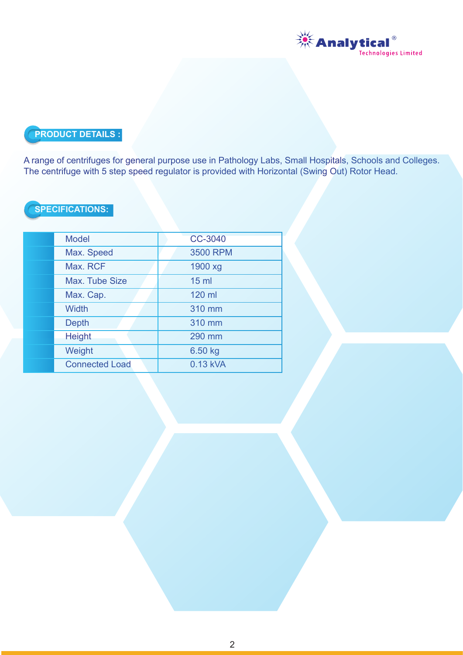

# **PRODUCT DETAILS :**

A range of centrifuges for general purpose use in Pathology Labs, Small Hospitals, Schools and Colleges. The centrifuge with 5 step speed regulator is provided with Horizontal (Swing Out) Rotor Head.

## **SPECIFICATIONS:**

| <b>Model</b>          | <b>CC-3040</b>  |
|-----------------------|-----------------|
| Max. Speed            | <b>3500 RPM</b> |
| Max. RCF              | 1900 xg         |
| Max. Tube Size        | 15 <sub>m</sub> |
| Max. Cap.             | 120 ml          |
| <b>Width</b>          | 310 mm          |
| <b>Depth</b>          | 310 mm          |
| <b>Height</b>         | 290 mm          |
| Weight                | 6.50 kg         |
| <b>Connected Load</b> | 0.13 kVA        |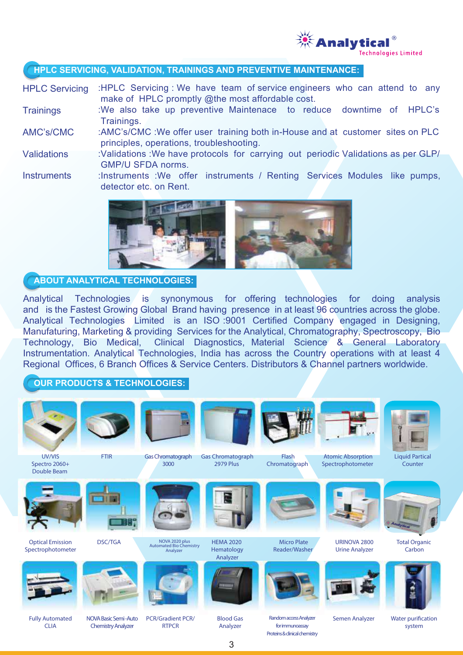

#### **HPLC SERVICING, VALIDATION, TRAININGS AND PREVENTIVE MAINTENANCE:**

:HPLC Servicing : We have team of service engineers who can attend to any make of HPLC promptly @the most affordable cost. HPLC Servicing

- :We also take up preventive Maintenace to reduce downtime of HPLC's Trainings. **Trainings**
- :AMC's/CMC :We offer user training both in-House and at customer sites on PLC principles, operations, troubleshooting. AMC's/CMC
- :Validations :We have protocols for carrying out periodic Validations as per GLP/ GMP/U SFDA norms. **Validations**
- :Instruments :We offer instruments / Renting Services Modules like pumps, detector etc. on Rent. **Instruments**



#### **ABOUT ANALYTICAL TECHNOLOGIES:**

Analytical Technologies is synonymous for offering technologies for doing analysis and is the Fastest Growing Global Brand having presence in at least 96 countries across the globe. Analytical Technologies Limited is an ISO :9001 Certified Company engaged in Designing, Manufaturing, Marketing & providing Services for the Analytical, Chromatography, Spectroscopy, Bio Technology, Bio Medical, Clinical Diagnostics, Material Science & General Laboratory Instrumentation. Analytical Technologies, India has across the Country operations with at least 4 Regional Offices, 6 Branch Offices & Service Centers. Distributors & Channel partners worldwide.

#### **OUR PRODUCTS & TECHNOLOGIES:**



3